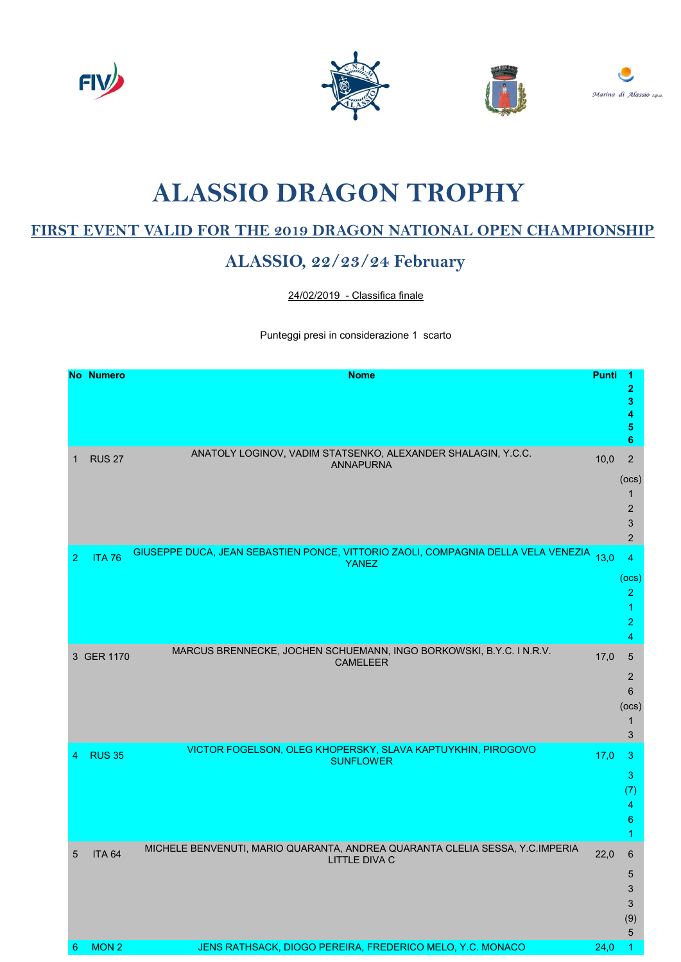







## ALASSIO DRAGON TROPHY

## FIRST EVENT VALID FOR THE 2019 DRAGON NATIONAL OPEN CHAMPIONSHIP

## ALASSIO, 22/23/24 February

24/02/2019 - Classifica finale

Punteggi presi in considerazione 1 scarto

|                | <b>No Numero</b> | <b>Nome</b>                                                                                            | <b>Punti</b> | 2<br>3<br>4<br>5<br>6                                                                  |
|----------------|------------------|--------------------------------------------------------------------------------------------------------|--------------|----------------------------------------------------------------------------------------|
| 1              | <b>RUS 27</b>    | ANATOLY LOGINOV, VADIM STATSENKO, ALEXANDER SHALAGIN, Y.C.C.<br><b>ANNAPURNA</b>                       | 10,0         | $\mathbf 2$<br>(ocs)<br>1<br>$\overline{2}$<br>$\ensuremath{\mathsf{3}}$<br>$\sqrt{2}$ |
| $\overline{2}$ | <b>ITA 76</b>    | GIUSEPPE DUCA, JEAN SEBASTIEN PONCE, VITTORIO ZAOLI, COMPAGNIA DELLA VELA VENEZIA 13,0<br><b>YANEZ</b> |              | 4<br>(ocs)<br>$\overline{2}$<br>1<br>2<br>4                                            |
|                | 3 GER 1170       | MARCUS BRENNECKE, JOCHEN SCHUEMANN, INGO BORKOWSKI, B.Y.C. IN.R.V.<br><b>CAMELEER</b>                  | 17,0         | 5<br>$\overline{c}$<br>6<br>(ocs)<br>1<br>$\mathfrak{S}$                               |
| 4              | <b>RUS 35</b>    | VICTOR FOGELSON, OLEG KHOPERSKY, SLAVA KAPTUYKHIN, PIROGOVO<br><b>SUNFLOWER</b>                        | 17,0         | 3<br>3<br>(7)<br>4<br>6<br>1                                                           |
| 5              | <b>ITA 64</b>    | MICHELE BENVENUTI, MARIO QUARANTA, ANDREA QUARANTA CLELIA SESSA, Y.C.IMPERIA<br><b>LITTLE DIVA C</b>   | 22,0         | 6<br>5<br>3<br>3<br>(9)<br>5                                                           |
| 6              | MON <sub>2</sub> | JENS RATHSACK, DIOGO PEREIRA, FREDERICO MELO, Y.C. MONACO                                              | 24,0         | 1.                                                                                     |